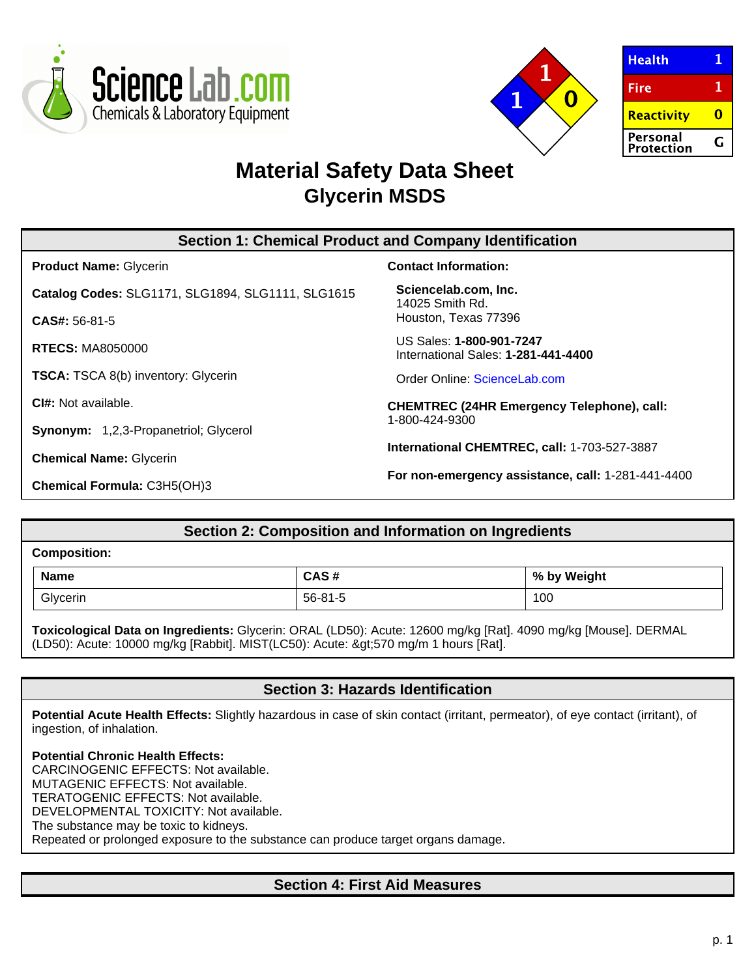



| <b>Health</b>                 |   |
|-------------------------------|---|
| <b>Fire</b>                   | 1 |
| Reactivity                    |   |
| Personal<br><b>Protection</b> |   |

# **Material Safety Data Sheet Glycerin MSDS**

| <b>Section 1: Chemical Product and Company Identification</b> |                                                                     |  |
|---------------------------------------------------------------|---------------------------------------------------------------------|--|
| <b>Product Name: Glycerin</b>                                 | <b>Contact Information:</b>                                         |  |
| Catalog Codes: SLG1171, SLG1894, SLG1111, SLG1615             | Sciencelab.com, Inc.<br>14025 Smith Rd.                             |  |
| $CAS#: 56-81-5$                                               | Houston, Texas 77396                                                |  |
| <b>RTECS: MA8050000</b>                                       | US Sales: 1-800-901-7247<br>International Sales: 1-281-441-4400     |  |
| <b>TSCA:</b> TSCA 8(b) inventory: Glycerin                    | Order Online: ScienceLab.com                                        |  |
| <b>CI#:</b> Not available.                                    | <b>CHEMTREC (24HR Emergency Telephone), call:</b><br>1-800-424-9300 |  |
| Synonym: 1,2,3-Propanetriol; Glycerol                         |                                                                     |  |
| <b>Chemical Name: Glycerin</b>                                | International CHEMTREC, call: 1-703-527-3887                        |  |
| Chemical Formula: C3H5(OH)3                                   | For non-emergency assistance, call: 1-281-441-4400                  |  |

# **Section 2: Composition and Information on Ingredients**

| <b>Composition:</b> |
|---------------------|
|---------------------|

| <b>Name</b> | CAS#    | % by Weight |
|-------------|---------|-------------|
| Glycerin    | 56-81-5 | 100         |

**Toxicological Data on Ingredients:** Glycerin: ORAL (LD50): Acute: 12600 mg/kg [Rat]. 4090 mg/kg [Mouse]. DERMAL (LD50): Acute: 10000 mg/kg [Rabbit]. MIST(LC50): Acute: >570 mg/m 1 hours [Rat].

# **Section 3: Hazards Identification**

**Potential Acute Health Effects:** Slightly hazardous in case of skin contact (irritant, permeator), of eye contact (irritant), of ingestion, of inhalation.

**Potential Chronic Health Effects:** CARCINOGENIC EFFECTS: Not available. MUTAGENIC EFFECTS: Not available. TERATOGENIC EFFECTS: Not available. DEVELOPMENTAL TOXICITY: Not available. The substance may be toxic to kidneys. Repeated or prolonged exposure to the substance can produce target organs damage.

# **Section 4: First Aid Measures**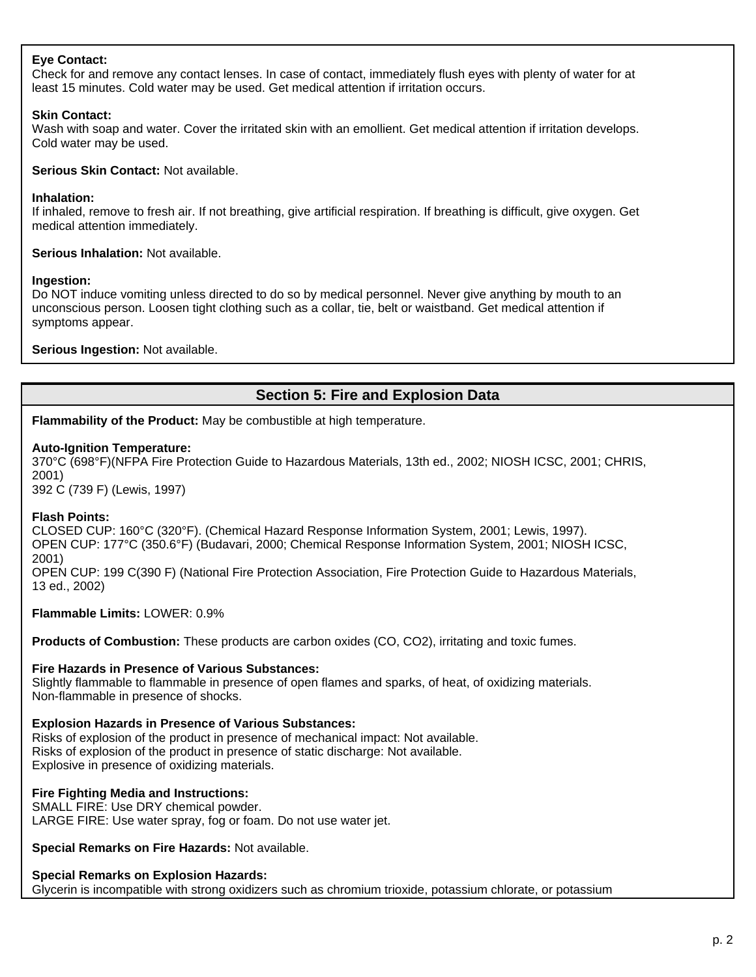### **Eye Contact:**

Check for and remove any contact lenses. In case of contact, immediately flush eyes with plenty of water for at least 15 minutes. Cold water may be used. Get medical attention if irritation occurs.

#### **Skin Contact:**

Wash with soap and water. Cover the irritated skin with an emollient. Get medical attention if irritation develops. Cold water may be used.

#### **Serious Skin Contact:** Not available.

#### **Inhalation:**

If inhaled, remove to fresh air. If not breathing, give artificial respiration. If breathing is difficult, give oxygen. Get medical attention immediately.

**Serious Inhalation:** Not available.

#### **Ingestion:**

Do NOT induce vomiting unless directed to do so by medical personnel. Never give anything by mouth to an unconscious person. Loosen tight clothing such as a collar, tie, belt or waistband. Get medical attention if symptoms appear.

### **Serious Ingestion:** Not available.

# **Section 5: Fire and Explosion Data**

**Flammability of the Product:** May be combustible at high temperature.

#### **Auto-Ignition Temperature:**

370°C (698°F)(NFPA Fire Protection Guide to Hazardous Materials, 13th ed., 2002; NIOSH ICSC, 2001; CHRIS, 2001)

392 C (739 F) (Lewis, 1997)

### **Flash Points:**

CLOSED CUP: 160°C (320°F). (Chemical Hazard Response Information System, 2001; Lewis, 1997). OPEN CUP: 177°C (350.6°F) (Budavari, 2000; Chemical Response Information System, 2001; NIOSH ICSC, 2001) OPEN CUP: 199 C(390 F) (National Fire Protection Association, Fire Protection Guide to Hazardous Materials, 13 ed., 2002)

**Flammable Limits:** LOWER: 0.9%

**Products of Combustion:** These products are carbon oxides (CO, CO2), irritating and toxic fumes.

**Fire Hazards in Presence of Various Substances:**

Slightly flammable to flammable in presence of open flames and sparks, of heat, of oxidizing materials. Non-flammable in presence of shocks.

#### **Explosion Hazards in Presence of Various Substances:**

Risks of explosion of the product in presence of mechanical impact: Not available. Risks of explosion of the product in presence of static discharge: Not available. Explosive in presence of oxidizing materials.

### **Fire Fighting Media and Instructions:**

SMALL FIRE: Use DRY chemical powder. LARGE FIRE: Use water spray, fog or foam. Do not use water jet.

**Special Remarks on Fire Hazards:** Not available.

#### **Special Remarks on Explosion Hazards:**

Glycerin is incompatible with strong oxidizers such as chromium trioxide, potassium chlorate, or potassium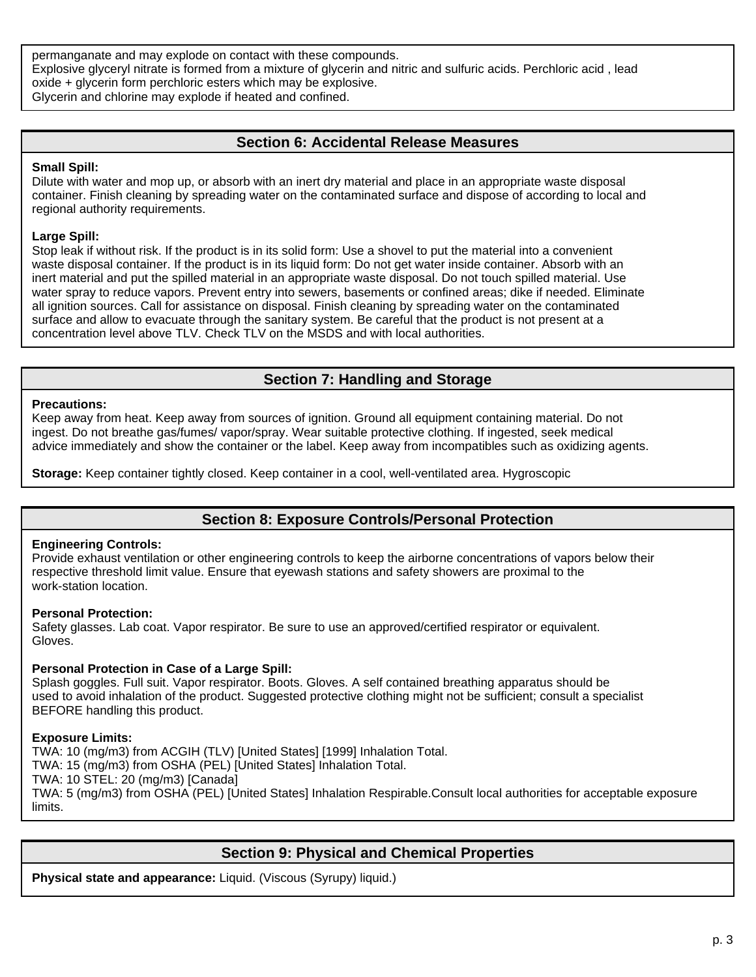permanganate and may explode on contact with these compounds. Explosive glyceryl nitrate is formed from a mixture of glycerin and nitric and sulfuric acids. Perchloric acid , lead oxide + glycerin form perchloric esters which may be explosive. Glycerin and chlorine may explode if heated and confined.

# **Section 6: Accidental Release Measures**

### **Small Spill:**

Dilute with water and mop up, or absorb with an inert dry material and place in an appropriate waste disposal container. Finish cleaning by spreading water on the contaminated surface and dispose of according to local and regional authority requirements.

### **Large Spill:**

Stop leak if without risk. If the product is in its solid form: Use a shovel to put the material into a convenient waste disposal container. If the product is in its liquid form: Do not get water inside container. Absorb with an inert material and put the spilled material in an appropriate waste disposal. Do not touch spilled material. Use water spray to reduce vapors. Prevent entry into sewers, basements or confined areas; dike if needed. Eliminate all ignition sources. Call for assistance on disposal. Finish cleaning by spreading water on the contaminated surface and allow to evacuate through the sanitary system. Be careful that the product is not present at a concentration level above TLV. Check TLV on the MSDS and with local authorities.

# **Section 7: Handling and Storage**

#### **Precautions:**

Keep away from heat. Keep away from sources of ignition. Ground all equipment containing material. Do not ingest. Do not breathe gas/fumes/ vapor/spray. Wear suitable protective clothing. If ingested, seek medical advice immediately and show the container or the label. Keep away from incompatibles such as oxidizing agents.

**Storage:** Keep container tightly closed. Keep container in a cool, well-ventilated area. Hygroscopic

# **Section 8: Exposure Controls/Personal Protection**

### **Engineering Controls:**

Provide exhaust ventilation or other engineering controls to keep the airborne concentrations of vapors below their respective threshold limit value. Ensure that eyewash stations and safety showers are proximal to the work-station location.

### **Personal Protection:**

Safety glasses. Lab coat. Vapor respirator. Be sure to use an approved/certified respirator or equivalent. Gloves.

### **Personal Protection in Case of a Large Spill:**

Splash goggles. Full suit. Vapor respirator. Boots. Gloves. A self contained breathing apparatus should be used to avoid inhalation of the product. Suggested protective clothing might not be sufficient; consult a specialist BEFORE handling this product.

### **Exposure Limits:**

TWA: 10 (mg/m3) from ACGIH (TLV) [United States] [1999] Inhalation Total. TWA: 15 (mg/m3) from OSHA (PEL) [United States] Inhalation Total. TWA: 10 STEL: 20 (mg/m3) [Canada] TWA: 5 (mg/m3) from OSHA (PEL) [United States] Inhalation Respirable.Consult local authorities for acceptable exposure limits.

# **Section 9: Physical and Chemical Properties**

**Physical state and appearance:** Liquid. (Viscous (Syrupy) liquid.)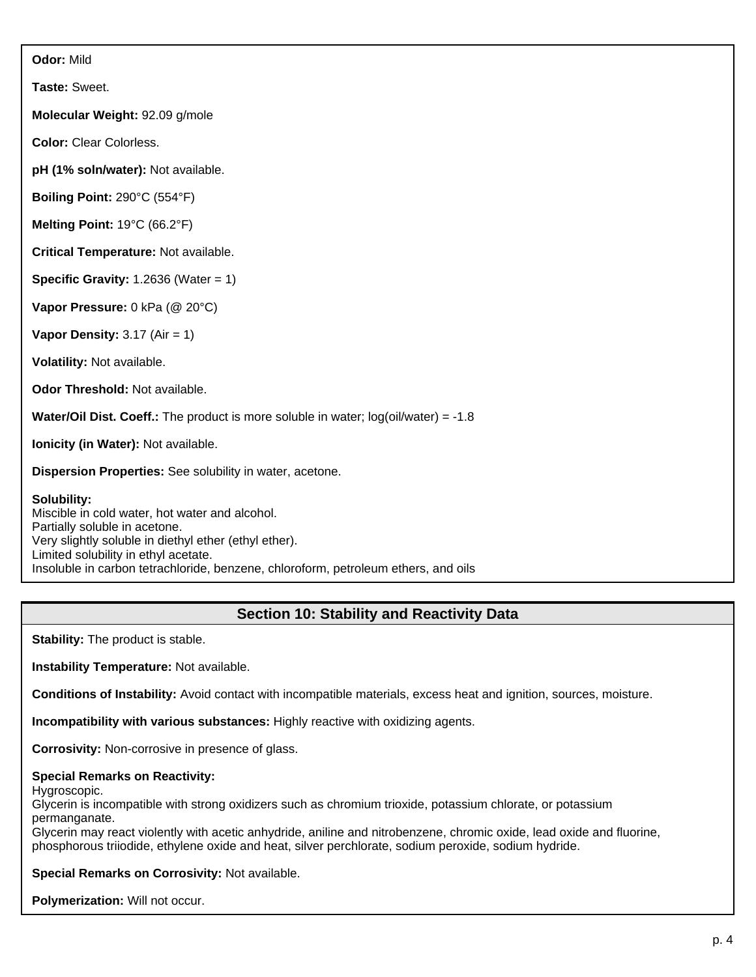**Odor:** Mild

**Taste:** Sweet.

**Molecular Weight:** 92.09 g/mole

**Color:** Clear Colorless.

**pH (1% soln/water):** Not available.

**Boiling Point:** 290°C (554°F)

**Melting Point:** 19°C (66.2°F)

**Critical Temperature:** Not available.

**Specific Gravity: 1.2636 (Water = 1)** 

**Vapor Pressure:** 0 kPa (@ 20°C)

**Vapor Density:** 3.17 (Air = 1)

**Volatility:** Not available.

**Odor Threshold:** Not available.

**Water/Oil Dist. Coeff.:** The product is more soluble in water; log(oil/water) = -1.8

**Ionicity (in Water):** Not available.

**Dispersion Properties:** See solubility in water, acetone.

#### **Solubility:**

Miscible in cold water, hot water and alcohol. Partially soluble in acetone. Very slightly soluble in diethyl ether (ethyl ether). Limited solubility in ethyl acetate. Insoluble in carbon tetrachloride, benzene, chloroform, petroleum ethers, and oils

# **Section 10: Stability and Reactivity Data**

**Stability:** The product is stable.

**Instability Temperature:** Not available.

**Conditions of Instability:** Avoid contact with incompatible materials, excess heat and ignition, sources, moisture.

**Incompatibility with various substances:** Highly reactive with oxidizing agents.

**Corrosivity:** Non-corrosive in presence of glass.

### **Special Remarks on Reactivity:**

Hygroscopic.

Glycerin is incompatible with strong oxidizers such as chromium trioxide, potassium chlorate, or potassium permanganate.

Glycerin may react violently with acetic anhydride, aniline and nitrobenzene, chromic oxide, lead oxide and fluorine, phosphorous triiodide, ethylene oxide and heat, silver perchlorate, sodium peroxide, sodium hydride.

**Special Remarks on Corrosivity:** Not available.

**Polymerization:** Will not occur.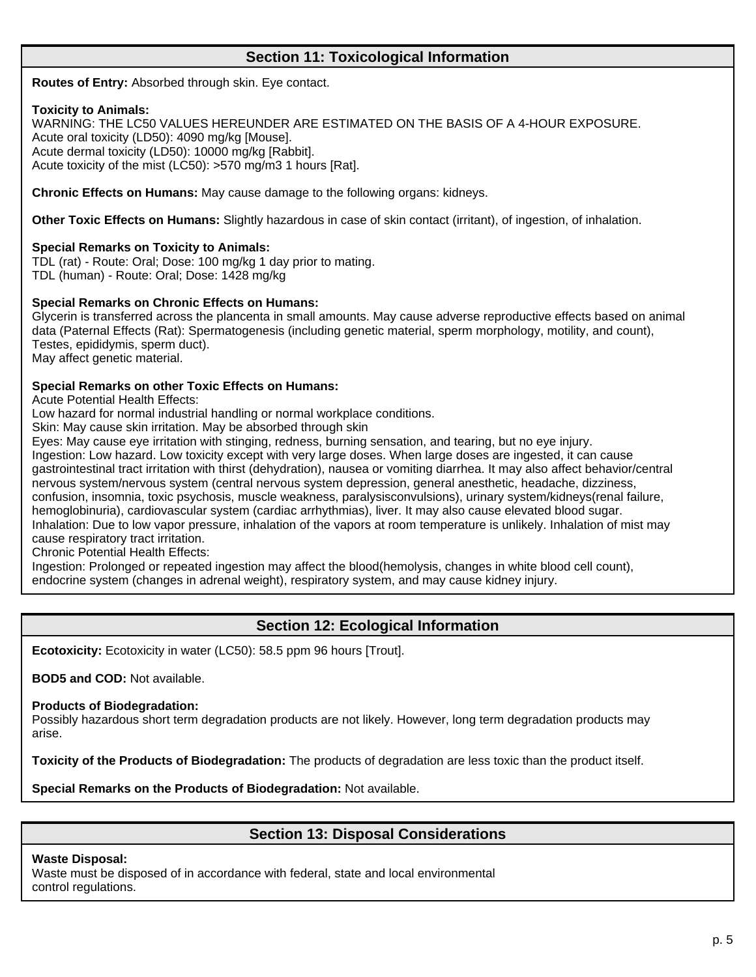# **Section 11: Toxicological Information**

**Routes of Entry:** Absorbed through skin. Eye contact.

### **Toxicity to Animals:**

WARNING: THE LC50 VALUES HEREUNDER ARE ESTIMATED ON THE BASIS OF A 4-HOUR EXPOSURE. Acute oral toxicity (LD50): 4090 mg/kg [Mouse]. Acute dermal toxicity (LD50): 10000 mg/kg [Rabbit]. Acute toxicity of the mist (LC50): >570 mg/m3 1 hours [Rat].

**Chronic Effects on Humans:** May cause damage to the following organs: kidneys.

**Other Toxic Effects on Humans:** Slightly hazardous in case of skin contact (irritant), of ingestion, of inhalation.

### **Special Remarks on Toxicity to Animals:**

TDL (rat) - Route: Oral; Dose: 100 mg/kg 1 day prior to mating. TDL (human) - Route: Oral; Dose: 1428 mg/kg

### **Special Remarks on Chronic Effects on Humans:**

Glycerin is transferred across the plancenta in small amounts. May cause adverse reproductive effects based on animal data (Paternal Effects (Rat): Spermatogenesis (including genetic material, sperm morphology, motility, and count), Testes, epididymis, sperm duct). May affect genetic material.

### **Special Remarks on other Toxic Effects on Humans:**

Acute Potential Health Effects:

Low hazard for normal industrial handling or normal workplace conditions.

Skin: May cause skin irritation. May be absorbed through skin

Eyes: May cause eye irritation with stinging, redness, burning sensation, and tearing, but no eye injury. Ingestion: Low hazard. Low toxicity except with very large doses. When large doses are ingested, it can cause gastrointestinal tract irritation with thirst (dehydration), nausea or vomiting diarrhea. It may also affect behavior/central nervous system/nervous system (central nervous system depression, general anesthetic, headache, dizziness, confusion, insomnia, toxic psychosis, muscle weakness, paralysisconvulsions), urinary system/kidneys(renal failure, hemoglobinuria), cardiovascular system (cardiac arrhythmias), liver. It may also cause elevated blood sugar. Inhalation: Due to low vapor pressure, inhalation of the vapors at room temperature is unlikely. Inhalation of mist may cause respiratory tract irritation.

Chronic Potential Health Effects:

Ingestion: Prolonged or repeated ingestion may affect the blood(hemolysis, changes in white blood cell count), endocrine system (changes in adrenal weight), respiratory system, and may cause kidney injury.

# **Section 12: Ecological Information**

**Ecotoxicity:** Ecotoxicity in water (LC50): 58.5 ppm 96 hours [Trout].

**BOD5 and COD:** Not available.

### **Products of Biodegradation:**

Possibly hazardous short term degradation products are not likely. However, long term degradation products may arise.

**Toxicity of the Products of Biodegradation:** The products of degradation are less toxic than the product itself.

**Special Remarks on the Products of Biodegradation:** Not available.

# **Section 13: Disposal Considerations**

#### **Waste Disposal:**

Waste must be disposed of in accordance with federal, state and local environmental control regulations.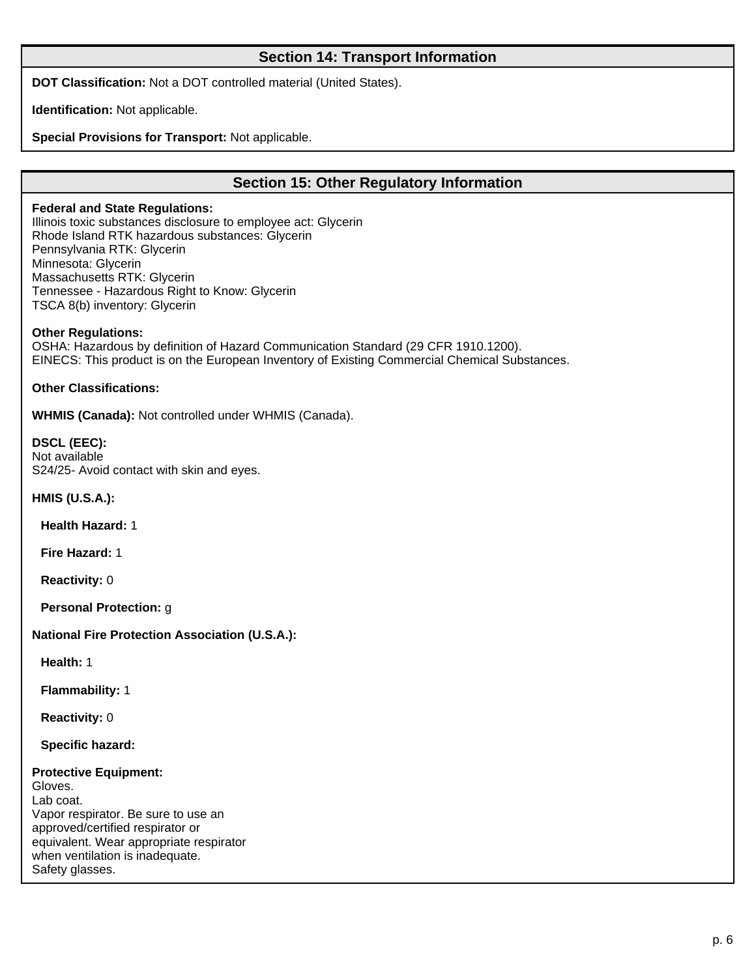### **Section 14: Transport Information**

**DOT Classification:** Not a DOT controlled material (United States).

**Identification:** Not applicable.

**Special Provisions for Transport:** Not applicable.

### **Section 15: Other Regulatory Information**

#### **Federal and State Regulations:**

Illinois toxic substances disclosure to employee act: Glycerin Rhode Island RTK hazardous substances: Glycerin Pennsylvania RTK: Glycerin Minnesota: Glycerin Massachusetts RTK: Glycerin Tennessee - Hazardous Right to Know: Glycerin TSCA 8(b) inventory: Glycerin

#### **Other Regulations:**

OSHA: Hazardous by definition of Hazard Communication Standard (29 CFR 1910.1200). EINECS: This product is on the European Inventory of Existing Commercial Chemical Substances.

#### **Other Classifications:**

**WHMIS (Canada):** Not controlled under WHMIS (Canada).

**DSCL (EEC):** Not available S24/25- Avoid contact with skin and eyes.

**HMIS (U.S.A.):**

**Health Hazard:** 1

**Fire Hazard:** 1

**Reactivity:** 0

**Personal Protection:** g

### **National Fire Protection Association (U.S.A.):**

**Health:** 1

**Flammability:** 1

**Reactivity:** 0

**Specific hazard:**

#### **Protective Equipment:**

Gloves. Lab coat. Vapor respirator. Be sure to use an approved/certified respirator or equivalent. Wear appropriate respirator when ventilation is inadequate. Safety glasses.